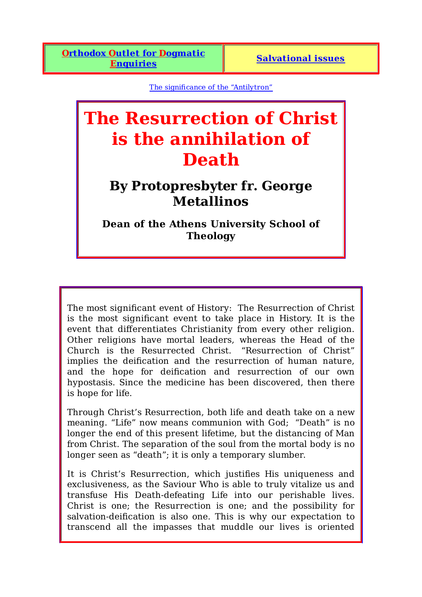The significance of the "Antilytron"

## **The Resurrection of Christ is the annihilation of Death**

## **By Protopresbyter fr. George Metallinos**

**Dean of the Athens University School of Theology**

The most significant event of History: The Resurrection of Christ is the most significant event to take place in History. It is the event that differentiates Christianity from every other religion. Other religions have mortal leaders, whereas the Head of the Church is the Resurrected Christ. "Resurrection of Christ" implies the deification and the resurrection of human nature, and the hope for deification and resurrection of our own hypostasis. Since the medicine has been discovered, then there is hope for life.

Through Christ's Resurrection, both life and death take on a new meaning. "Life" now means communion with God; "Death" is no longer the end of this present lifetime, but the distancing of Man from Christ. The separation of the soul from the mortal body is no longer seen as "death"; it is only a temporary slumber.

It is Christ's Resurrection, which justifies His uniqueness and exclusiveness, as the Saviour Who is able to truly vitalize us and transfuse His Death-defeating Life into our perishable lives. Christ is one; the Resurrection is one; and the possibility for salvation-deification is also one. This is why our expectation to transcend all the impasses that muddle our lives is oriented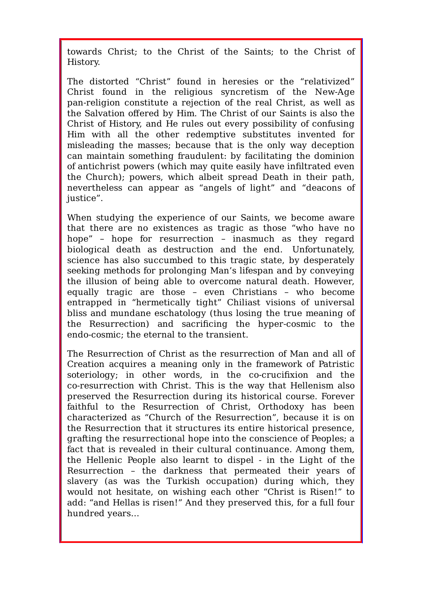towards Christ; to the Christ of the Saints; to the Christ of History.

The distorted "Christ" found in heresies or the "relativized" Christ found in the religious syncretism of the New-Age pan-religion constitute a rejection of the real Christ, as well as the Salvation offered by Him. The Christ of our Saints is also the Christ of History, and He rules out every possibility of confusing Him with all the other redemptive substitutes invented for misleading the masses; because that is the only way deception can maintain something fraudulent: by facilitating the dominion of antichrist powers (which may quite easily have infiltrated even the Church); powers, which albeit spread Death in their path, nevertheless can appear as "angels of light" and "deacons of justice".

When studying the experience of our Saints, we become aware that there are no existences as tragic as those "who have no hope" – hope for resurrection – inasmuch as they regard biological death as destruction and the end. Unfortunately, science has also succumbed to this tragic state, by desperately seeking methods for prolonging Man's lifespan and by conveying the illusion of being able to overcome natural death. However, equally tragic are those – even Christians – who become entrapped in "hermetically tight" Chiliast visions of universal bliss and mundane eschatology (thus losing the true meaning of the Resurrection) and sacrificing the hyper-cosmic to the endo-cosmic; the eternal to the transient.

The Resurrection of Christ as the resurrection of Man and all of Creation acquires a meaning only in the framework of Patristic soteriology; in other words, in the co-crucifixion and the co-resurrection with Christ. This is the way that Hellenism also preserved the Resurrection during its historical course. Forever faithful to the Resurrection of Christ, Orthodoxy has been characterized as "Church of the Resurrection", because it is on the Resurrection that it structures its entire historical presence, grafting the resurrectional hope into the conscience of Peoples; a fact that is revealed in their cultural continuance. Among them, the Hellenic People also learnt to dispel - in the Light of the Resurrection – the darkness that permeated their years of slavery (as was the Turkish occupation) during which, they would not hesitate, on wishing each other "Christ is Risen!" to add: "and Hellas is risen!" And they preserved this, for a full four hundred years…